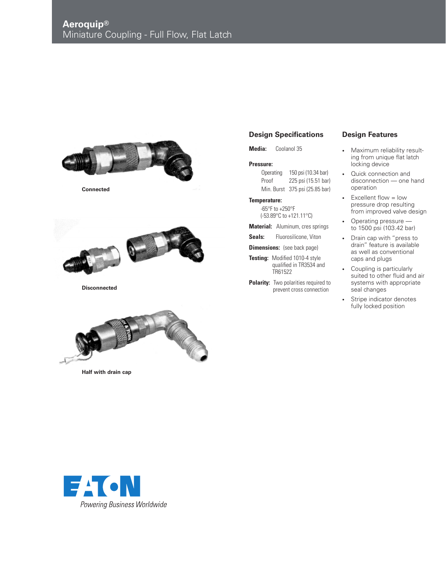

**Connected**



**Disconnected**



**Half with drain cap**

## **Design Specifications**

**Media:** Coolanol 35

## **Pressure:**

Operating 150 psi (10.34 bar) Proof 225 psi (15.51 bar) Min. Burst 375 psi (25.85 bar)

## **Temperature:**

-65°F to +250°F (-53.89°C to +121.11°C)

- **Material:** Aluminum, cres springs
- Seals: Fluorosilicone, Viton

**Dimensions:** (see back page)

- **Testing:** Modified 1010-4 style qualified in TR3534 and TR61522
- **Polarity:** Two polarities required to prevent cross connection

## **Design Features**

- Maximum reliability resulting from unique flat latch locking device
- Quick connection and disconnection — one hand operation
- Excellent flow = low pressure drop resulting from improved valve design
- Operating pressure to 1500 psi (103.42 bar)
- Drain cap with "press to drain" feature is available as well as conventional caps and plugs
- Coupling is particularly suited to other fluid and air systems with appropriate seal changes
- Stripe indicator denotes fully locked position